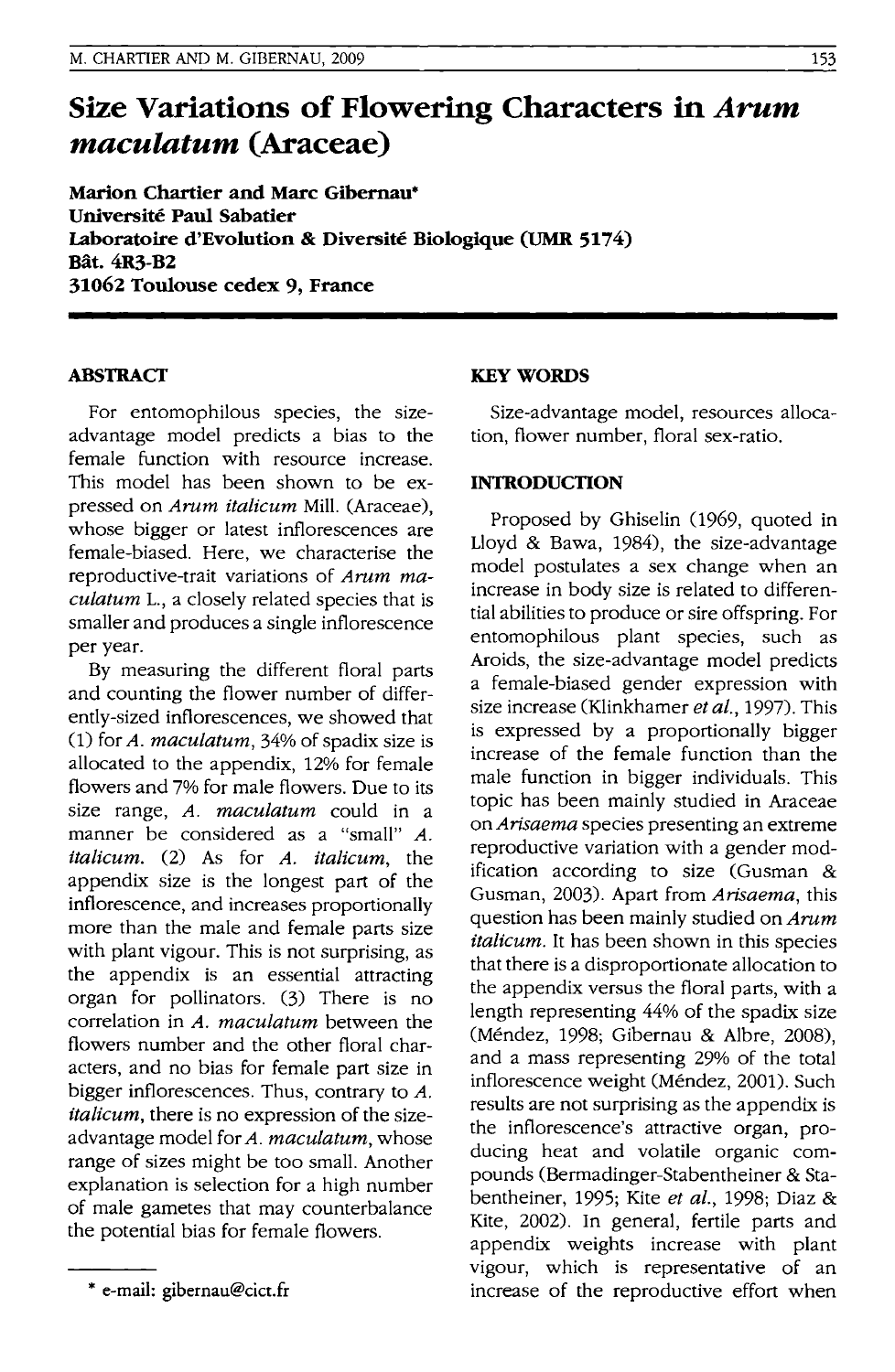# **Size Variations of Flowering Characters in** *Arum maculatum* **(Araceae)**

**Marion Chartier and Marc Gibernau\* Universite Paul Sabatier**  ~boratoire **d'Evolution & Diversite Biologique (UMR 5174) Bat.4R3·B2 31062 Toulouse cedex 9, France** 

# **ABSTRACT**

For entomophilous species, the sizeadvantage model predicts a bias to the female function with resource increase. This model has been shown to be expressed on *Arum italicum* Mill. (Araceae), whose bigger or latest inflorescences are female-biased. Here, we characterise the reproductive-trait variations of *Arum ma*culatum L., a closely related species that is smaller and produces a single inflorescence per year.

By measuring the different floral parts and counting the flower number of differently-sized inflorescences, we showed that (1) for *A. maculatum,* 34% of spadix size is allocated to the appendix, 12% for female flowers and 7% for male flowers. Due to its size range, *A. maculatum* could in a manner be considered as a "small" A. *italicum.* (2) As for *A. italicum,* the appendix size is the longest part of the inflorescence, and increases proportionally more than the male and female parts size with plant vigour. This is not surprising, as the appendix is an essential attracting organ for pollinators. (3) There is no correlation in *A. maculatum* between the flowers number and the other floral characters, and no bias for female part size in bigger inflorescences. Thus, contrary to *A. italicum,* there is no expression of the sizeadvantage model for *A. maculatum,* whose range of sizes might be too small. Another explanation is selection for a high number of male gametes that may counterbalance the potential bias for female flowers.

# **KEY WORDS**

Size-advantage model, resources allocation, flower number, floral sex-ratio.

## **INfRODUCTION**

Proposed by Ghiselin (1969, quoted in Lloyd & Bawa, 1984), the size-advantage model postulates a sex change when an increase in body size is related to differential abilities to produce or sire offspring. For entomophilous plant species, such as Aroids, the size-advantage model predicts a female-biased gender expression with size increase (Klinkhamer *et al.,* 1997). This is expressed by a proportionally bigger increase of the female function than the male function in bigger individuals. This topic has been mainly studied in Araceae on *Arisaema* species presenting an extreme reproductive variation with a gender modification according to size (Gusman & Gusman, 2003). Apart from *Arisaema,* this question has been mainly studied on *Arum italicum.* It has been shown in this species that there is a disproportionate allocation to the appendix versus the floral parts, with a length representing 44% of the spadix size (Mendez, 1998; Gibernau & Albre, 2008), and a mass representing 29% of the total inflorescence weight (Méndez, 2001). Such results are not surprising as the appendix is the inflorescence's attractive organ, producing heat and volatile organic compounds (Bermadinger-Stabentheiner & Stabentheiner, 1995; Kite *et al.,* 1998; Diaz & Kite, 2002). In general, fertile parts and appendix weights increase with plant vigour, which is representative of an increase of the reproductive effort when

<sup>\*</sup> e-mail: gibernau@cict.fr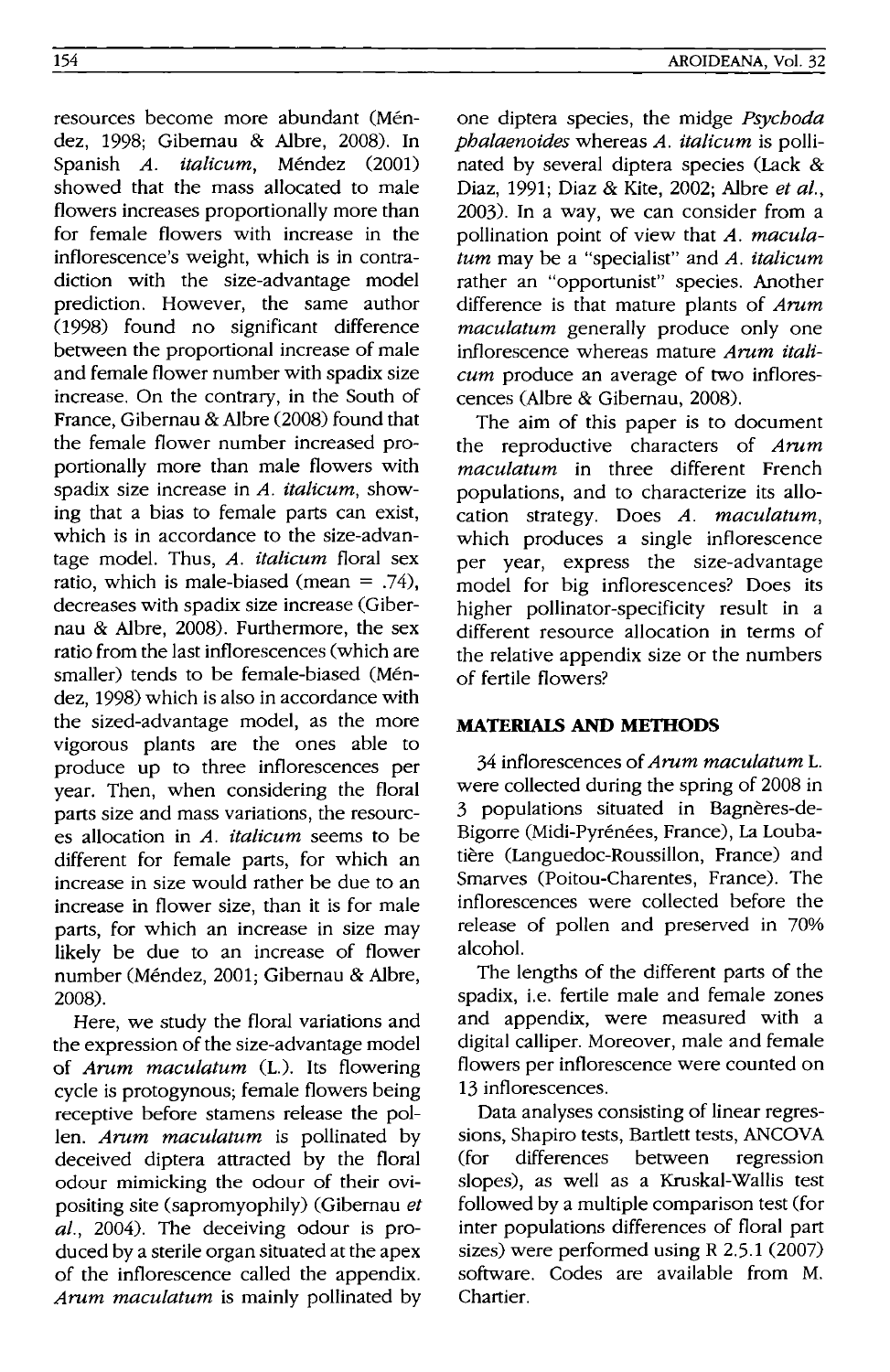resources become more abundant (Méndez, 1998; Gibernau & Albre, 2008). In Spanish *A. italicum*, Méndez (2001) showed that the mass allocated to male flowers increases proportionally more than for female flowers with increase in the inflorescence's weight, which is in contradiction with the size-advantage model prediction. However, the same author (1998) found no significant difference between the proportional increase of male and female flower number with spadix size increase. On the contrary, in the South of France, Gibernau & Albre (2008) found that the female flower number increased proportionally more than male flowers with spadix size increase in *A. italicum,* showing that a bias to female parts can exist, which is in accordance to the size-advantage model. Thus, *A. italicum* floral sex ratio, which is male-biased (mean  $=$  .74). decreases with spadix size increase (Gibernau & Albre, 2008). Furthermore, the sex ratio from the last inflorescences (which are smaller) tends to be female-biased (Méndez, 1998) which is also in accordance with the sized-advantage model, as the more vigorous plants are the ones able to produce up to three inflorescences per year. Then, when considering the floral parts size and mass variations, the resources allocation in *A. italicum* seems to be different for female parts, for which an increase in size would rather be due to an increase in flower size, than it is for male parts, for which an increase in size may likely be due to an increase of flower number (Mendez, 2001; Gibernau & Albre, 2008).

Here, we study the floral variations and the expression of the size-advantage model of *Arum maculatum* (L.). Its flowering cycle is protogynous; female flowers being receptive before stamens release the pollen. *Arum maculatum* is pollinated by deceived diptera attracted by the floral odour mimicking the odour of their ovipositing site (sapromyophily) (Gibernau *et al.,* 2004). The deceiving odour is produced by a sterile organ situated at the apex of the inflorescence called the appendix. *Arum maculatum* is mainly pollinated by one diptera species, the midge *Psychoda phalaenoides* whereas *A. italicum* is pollinated by several diptera species (Lack & Diaz, 1991; Diaz & Kite, 2002; Albre *et al.,*  2003). In a way, we can consider from a pollination point of view that *A. maculatum* may be a "specialist" and *A. italicum*  rather an "opportunist" species. Another difference is that mature plants of *Arum maculatum* generally produce only one inflorescence whereas mature *Arum italicum* produce an average of two inflorescences (Albre & Gibernau, 2008).

The aim of this paper is to document the reproductive characters of *Arum maculatum* in three different French populations, and to characterize its allocation strategy. Does *A. maculatum,*  which produces a single inflorescence per year, express the size-advantage model for big inflorescences? Does its higher pollinator-specificity result in a different resource allocation in terms of the relative appendix size or the numbers of fertile flowers?

# **MATERIALS AND METHODS**

34 inflorescences of *Arum maculatum* L. were collected during the spring of 2008 in 3 populations situated in Bagneres-de-Bigorre (Midi-Pyrénées, France), La Loubatiere (Languedoc-RoussilIon, France) and Smarves (Poitou-Charentes, France). The inflorescences were collected before the release of pollen and preserved in 70% alcohol.

The lengths of the different parts of the spadix, i.e. fertile male and female zones and appendix, were measured with a digital calliper. Moreover, male and female flowers per inflorescence were counted on 13 inflorescences.

Data analyses consisting of linear regressions, Shapiro tests, Bartlett tests, ANCOVA (for differences between regression slopes), as well as a Kruskal-Wallis test followed by a multiple comparison test (for inter populations differences of floral part sizes) were performed using R 2.5.1 (2007) software. Codes are available from M. Chartier.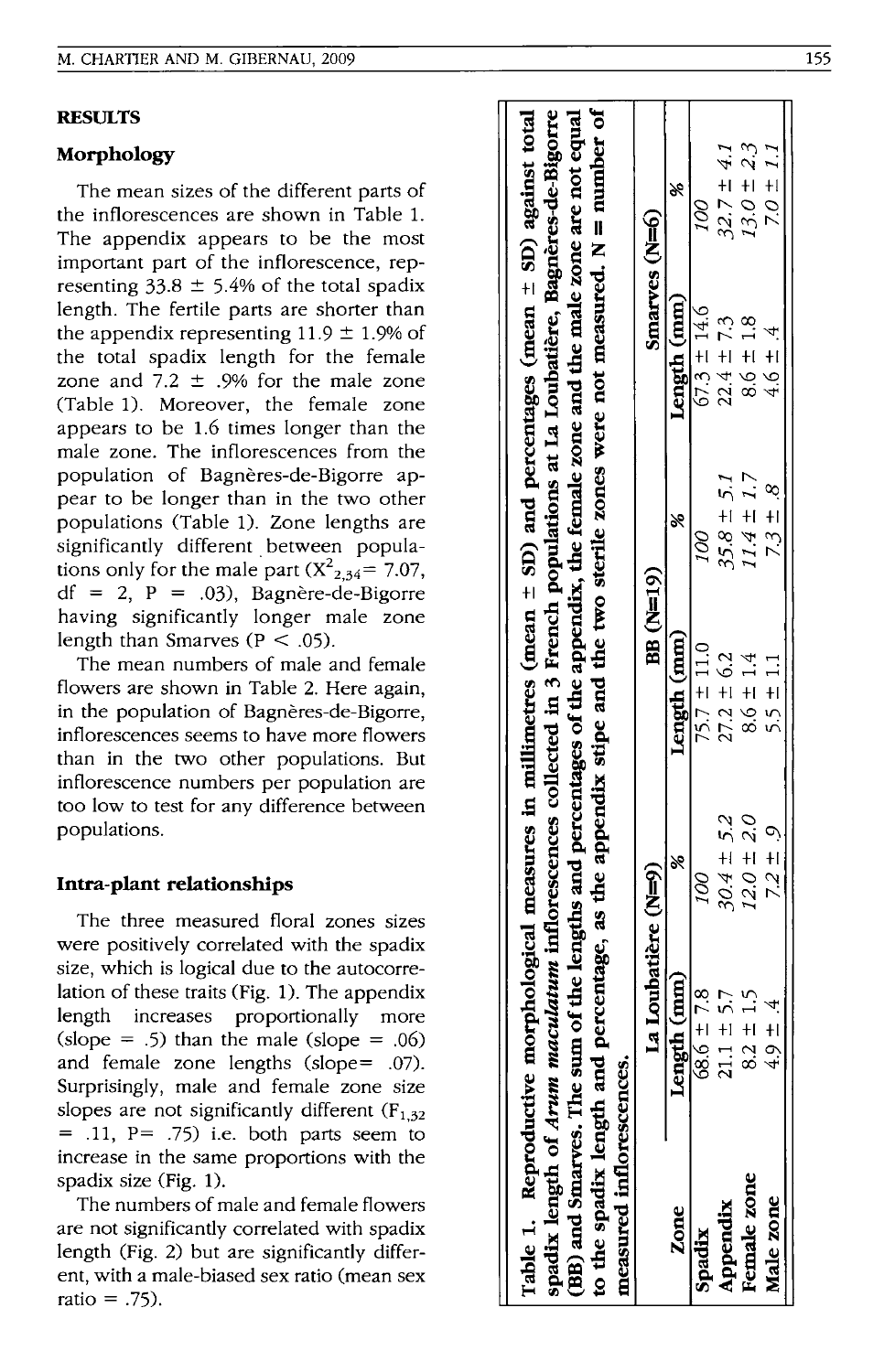## **RESULTS**

#### **Morphology**

The mean sizes of the different parts of the inflorescences are shown in Table 1. The appendix appears to be the most important part of the inflorescence, representing  $33.8 \pm 5.4\%$  of the total spadix length. The fertile parts are shorter than the appendix representing  $11.9 \pm 1.9\%$  of the total spadix length for the female zone and  $7.2 \pm .9\%$  for the male zone (Table 1). Moreover, the female zone appears to be 1.6 times longer than the male zone. The inflorescences from the population of Bagneres-de-Bigorre appear to be longer than in the two other populations (Table 1). Zone lengths are significantly different between populations only for the male part  $(X_{2,34}^2 = 7.07)$ ,  $df = 2$ ,  $P = .03$ ), Bagnère-de-Bigorre having significantly longer male zone length than Smarves ( $P < .05$ ).

The mean numbers of male and female flowers are shown in Table 2. Here again, in the population of Bagnères-de-Bigorre, inflorescences seems to have more flowers than in the two other populations. But inflorescence numbers per population are too low to test for any difference between populations.

## **Intra-plant relationships**

The three measured floral zones sizes were positively correlated with the spadix size, which is logical due to the autocorrelation of these traits (Fig. 1). The appendix length increases proportionally more  $(slope = .5)$  than the male  $(slope = .06)$ and female zone lengths (slope= .07). Surprisingly, male and female zone size slopes are not significantly different  $(F<sub>1-32</sub>)$  $=$  .11, P $=$  .75) i.e. both parts seem to increase in the same proportions with the spadix size (Fig. 1).

The numbers of male and female flowers are not significantly correlated with spadix length (Fig. 2) but are significantly different, with a male-biased sex ratio (mean sex ratio  $= .75$ ).

|                                                        | Table 1. Reproductive morphological measures in millimetres (mean $\pm$ SD) and percentages (mean $\pm$ SD) against total |                |                 |                |                                                                                                 |                |
|--------------------------------------------------------|---------------------------------------------------------------------------------------------------------------------------|----------------|-----------------|----------------|-------------------------------------------------------------------------------------------------|----------------|
|                                                        | spadix length of Arum maculatum inflorescences collected in 3 French populations at La Loubatière, Bagnères-de-Bigorre    |                |                 |                |                                                                                                 |                |
| (BB) and Smarves. The sum                              |                                                                                                                           |                |                 |                | of the lengths and percentages of the appendix, the female zone and the male zone are not equal |                |
| to the spadix length and p<br>measured inflorescences. |                                                                                                                           |                |                 |                | percentage, as the appendix stipe and the two sterile zones were not measured. $N = number$ of  |                |
|                                                        | a Loubatière (N=9)                                                                                                        |                | BB (N=19)       |                | Smarves (N=6)                                                                                   |                |
| Zone                                                   | h(mm)<br>Lengtl                                                                                                           |                | Length (mm)     |                | Length (mm)                                                                                     | ×              |
| Spadix                                                 | $68.6 \pm 7.8$                                                                                                            | 00I            | $75.7 \pm 11.0$ | 100            | $67.3 \pm 14.6$                                                                                 | 00             |
| Appendix                                               | $+5.7$<br>$\overline{211}$                                                                                                | $30.4 \pm 5.2$ | $27.2 \pm 6.2$  | $35.8 \pm 5.1$ | $22.4 \pm 7.3$                                                                                  | $32.7 \pm 4.1$ |
| Female zone                                            | $\frac{15}{11}$<br>$\frac{2}{8}$                                                                                          | $12.0 \pm 2.0$ | $8.6 \pm 1.4$   | $11.4 \pm 1.7$ | $8.6 \pm 1.8$                                                                                   | $13.0 \pm 2.3$ |
| Male zone                                              | $\frac{4}{1}$<br>4.9                                                                                                      | $7.2 \pm 9$    | $5.5 \pm 1.1$   | $7.3 \pm .8$   | 4.6 ± .4                                                                                        | 7.0 $\pm$ 1.1  |
|                                                        |                                                                                                                           |                |                 |                |                                                                                                 |                |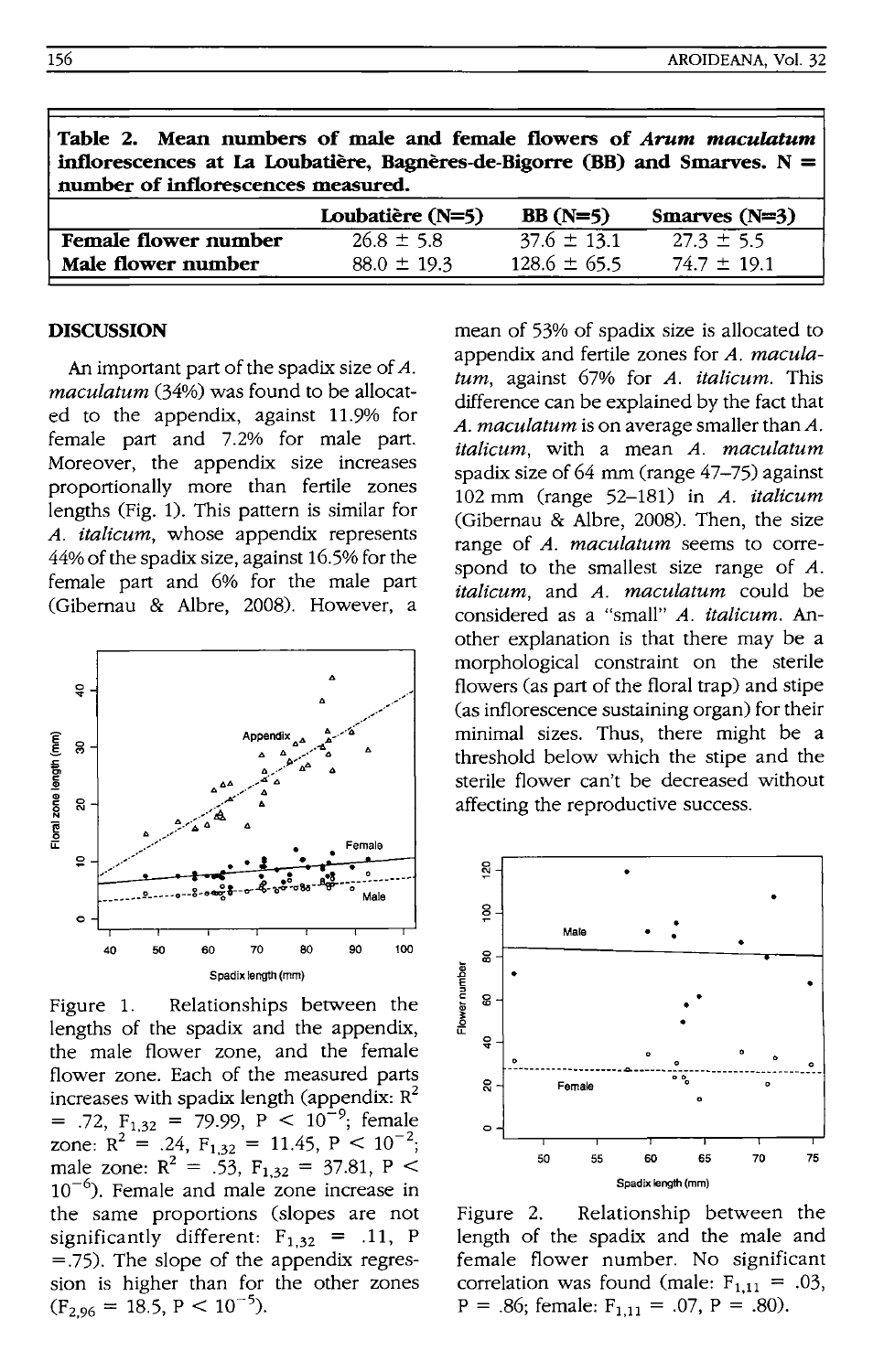| IADIC 21 ROMA RUMANCO VI MAC ANO ICAMIC ILVIICIO VI III <i>wii INDUMNINI</i> I<br>inflorescences at La Loubatière, Bagnères-de-Bigorre (BB) and Smarves. $N =$<br>number of inflorescences measured. |                  |                  |                 |  |  |
|------------------------------------------------------------------------------------------------------------------------------------------------------------------------------------------------------|------------------|------------------|-----------------|--|--|
|                                                                                                                                                                                                      | Loubatière (N=5) | $BB(N=5)$        | Smarves $(N=3)$ |  |  |
| Female flower number                                                                                                                                                                                 | $26.8 \pm 5.8$   | $37.6 \pm 13.1$  | $27.3 \pm 5.5$  |  |  |
| Male flower number                                                                                                                                                                                   | $88.0 \pm 19.3$  | $128.6 \pm 65.5$ | $74.7 \pm 19.1$ |  |  |

**Table 2. Mean numbers of male and female flowers of** *Arum maculatum* 

#### **DISCUSSION**

An important part of the spadix size of A. *maculatum* (34%) was found to be allocated to the appendix, against 11.9% for female part and 7.2% for male part. Moreover, the appendix size increases proportionally more than fertile zones lengths (Fig. 1). This pattern is similar for *A. italicum,* whose appendix represents 44% of the spadix size, against 16.5% for the female part and 6% for the male part (Gibernau & Albre, 2008). However, a



Figure 1. Relationships between the lengths of the spadix and the appendix, the male flower zone, and the female flower zone. Each of the measured parts increases with spadix length (appendix:  $R^2$ <br>= .72,  $F_{1,32}$  = 79.99,  $P < 10^{-9}$ ; female zone:  $R^2 = .24$ ,  $F_{1,32} = 11.45$ ,  $P < 10^{-2}$ ; male zone:  $R^2 = .53$ ,  $F_{1,32} = 37.81$ , P <  $10^{-6}$ ). Female and male zone increase in the same proportions (slopes are not significantly different:  $F_{1,32}$  = .11, P =.75). The slope of the appendix regression is higher than for the other zones  $(F_{2,96} = 18.5, P < 10^{-5}).$ 

mean of 53% of spadix size is allocated to appendix and fertile zones for *A. maculatum,* against 67% for *A. italicum.* This difference can be explained by the fact that *A. maculatum* is on average smaller than *A. italicum,* with a mean *A. maculatum*  spadix size of 64 mm (range 47-75) against 102 mm (range 52-181) in *A. italicum*  (Gibernau & Albre, 2008). Then, the size range of *A. maculatum* seems to correspond to the smallest size range of A. *italicum,* and *A. maculatum* could be considered as a "small" *A. italicum.* Another explanation is that there may be a morphological constraint on the sterile flowers (as part of the floral trap) and stipe (as inflorescence sustaining organ) for their minimal sizes. Thus, there might be a threshold below which the stipe and the sterile flower can't be decreased without affecting the reproductive success.



Figure 2. Relationship between the length of the spadix and the male and female flower number. No significant correlation was found (male:  $F_{1,11} = .03$ ,  $P = .86$ ; female:  $F_{1,11} = .07$ ,  $P = .80$ ).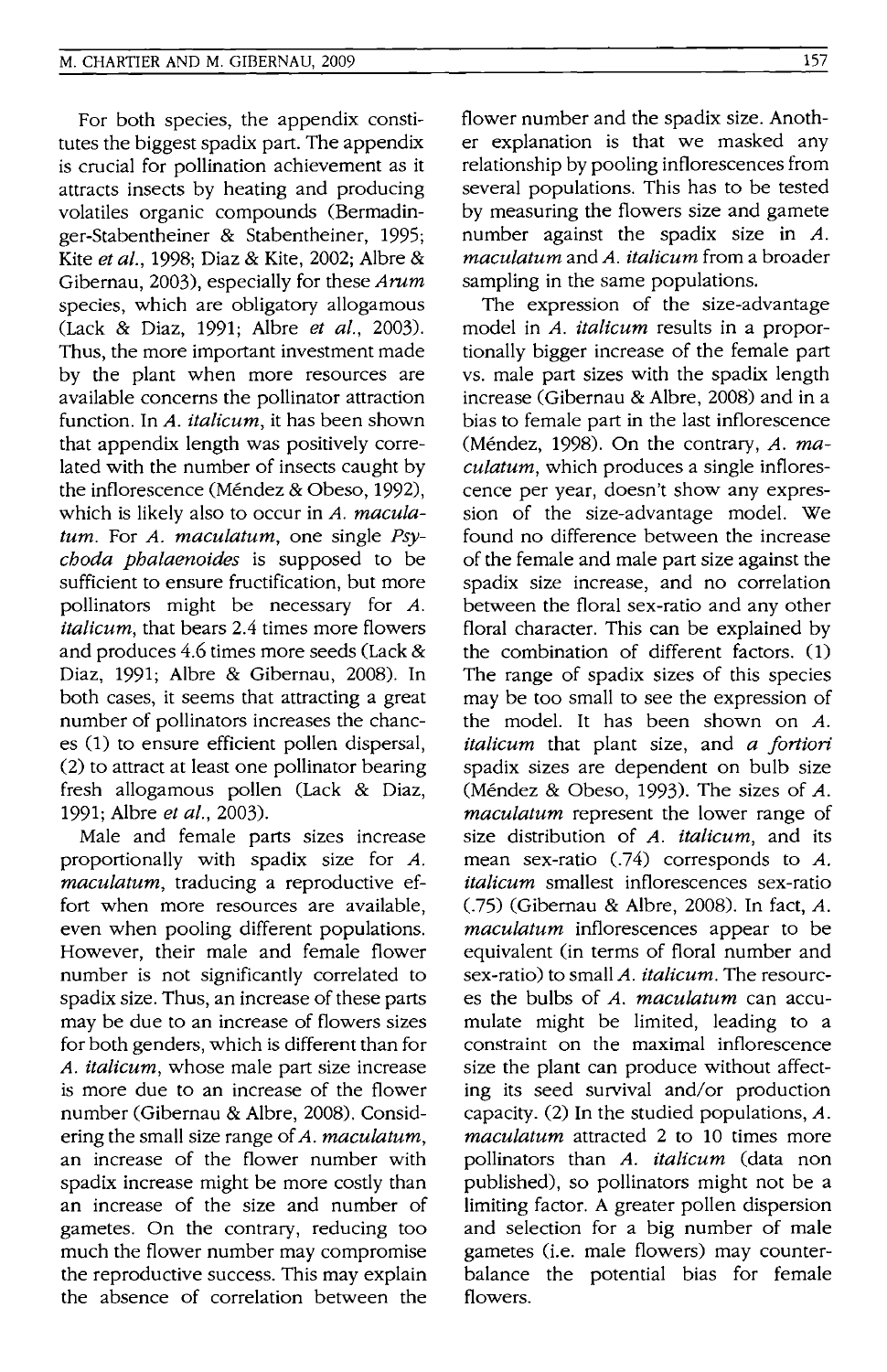For both species, the appendix constitutes the biggest spadix part. The appendix is crucial for pollination achievement as it attracts insects by heating and producing volatiles organic compounds (Bermadinger-Stabentheiner & Stabentheiner, 1995; Kite *et al.,* 1998; Diaz & Kite, 2002; A1bre & Gibernau, 2003), especially for these Arum species, which are obligatory allogamous (Lack & Diaz, 1991; Albre *et al., 2003).*  Thus, the more important investment made by the plant when more resources are available concerns the pollinator attraction function. In A. *italicum,* it has been shown that appendix length was positively correlated with the number of insects caught by the inflorescence (Méndez & Obeso, 1992), which is likely also to occur in A. *maculatum.* For *A. maculatum,* one single *Psychoda phalaenoides* is supposed to be sufficient to ensure fructification, but more pollinators might be necessary for *A. italicum,* that bears 2.4 times more flowers and produces 4.6 times more seeds (Lack & Diaz, 1991; Albre & Gibernau, 2008). In both cases, it seems that attracting a great number of pollinators increases the chances (1) to ensure efficient pollen dispersal, (2) to attract at least one pollinator bearing fresh allogamous pollen (Lack & Diaz, 1991; A1bre *et al., 2003).* 

Male and female parts sizes increase proportionally with spadix size for *A. maculatum,* traducing a reproductive effort when more resources are available, even when pooling different populations. However, their male and female flower number is not significantly correlated to spadix size. Thus, an increase of these parts may be due to an increase of flowers sizes for both genders, which is different than for *A. italicum,* whose male part size increase is more due to an increase of the flower number (Gibernau & Albre, 2008). Considering the small size range of *A. maculatum,*  an increase of the flower number with spadix increase might be more costly than an increase of the size and number of gametes. On the contrary, reducing too much the flower number may compromise the reproductive success. This may explain the absence of correlation between the

flower number and the spadix size. Another explanation is that we masked any relationship by pooling inflorescences from several populations. This has to be tested by measuring the flowers size and gamete number against the spadix size in A. *maculatum* and A. *italicum* from a broader sampling in the same populations.

The expression of the size-advantage model in *A. italicum* results in a proportionally bigger increase of the female part vs. male part sizes with the spadix length increase (Gibernau & Albre, 2008) and in a bias to female part in the last inflorescence (Mendez, 1998). On the contrary, A. *maculatum,* which produces a single inflorescence per year, doesn't show any expression of the size-advantage model. We found no difference between the increase of the female and male part size against the spadix size increase, and no correlation between the floral sex-ratio and any other floral character. This can be explained by the combination of different factors. (1) The range of spadix sizes of this species may be too small to see the expression of the model. It has been shown on *A. italicum* that plant size, and *a fortiori*  spadix sizes are dependent on bulb size (Méndez & Obeso, 1993). The sizes of  $A$ . *maculatum* represent the lower range of size distribution of *A. italicum,* and its mean sex-ratio  $(.74)$  corresponds to A. *italicum* smallest inflorescences sex-ratio (.75) (Gibernau & Albre, 2008). In fact, A. *maculatum* inflorescences appear to be equivalent (in terms of floral number and sex-ratio) to small A. *italicum.* The resources the bulbs of *A. maculatum* can accumulate might be limited, leading to a constraint on the maximal inflorescence size the plant can produce without affecting its seed survival and/or production capacity. (2) In the studied populations, A. *maculatum* attracted 2 to 10 times more pollinators than *A. italicum* (data non published), so pollinators might not be a limiting factor. A greater pollen dispersion and selection for a big number of male gametes (i.e. male flowers) may counterbalance the potential bias for female flowers.